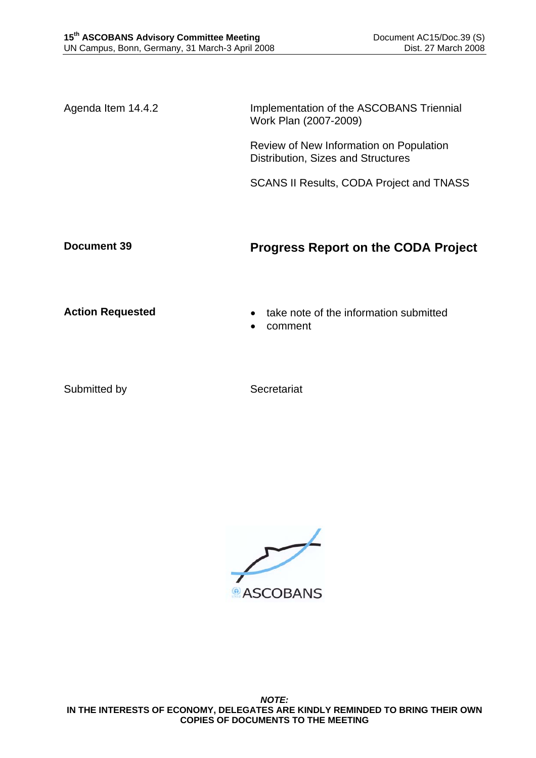Agenda Item 14.4.2 Implementation of the ASCOBANS Triennial Work Plan (2007-2009)

> Review of New Information on Population Distribution, Sizes and Structures

SCANS II Results, CODA Project and TNASS

## **Document 39 Progress Report on the CODA Project**

- **Action Requested**  take note of the information submitted
	- comment

Submitted by Secretariat

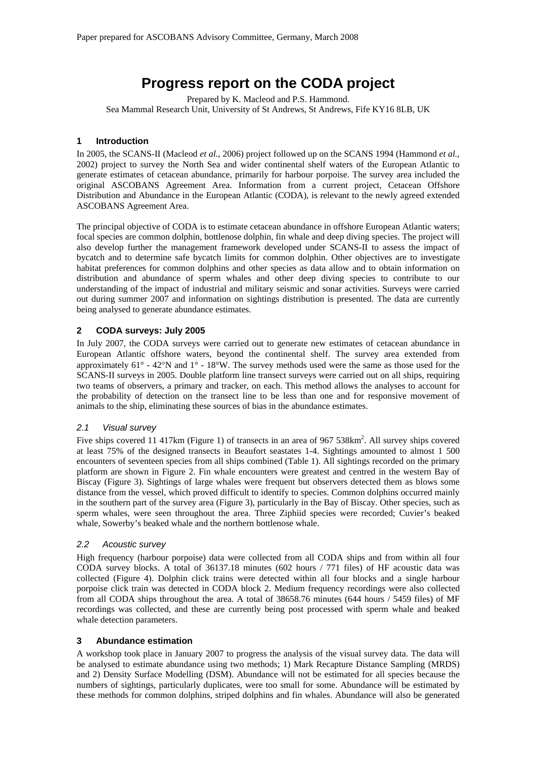# **Progress report on the CODA project**

Prepared by K. Macleod and P.S. Hammond. Sea Mammal Research Unit, University of St Andrews, St Andrews, Fife KY16 8LB, UK

#### **1 Introduction**

In 2005, the SCANS-II (Macleod *et al.*, 2006) project followed up on the SCANS 1994 (Hammond *et al.*, 2002) project to survey the North Sea and wider continental shelf waters of the European Atlantic to generate estimates of cetacean abundance, primarily for harbour porpoise. The survey area included the original ASCOBANS Agreement Area. Information from a current project, Cetacean Offshore Distribution and Abundance in the European Atlantic (CODA), is relevant to the newly agreed extended ASCOBANS Agreement Area.

The principal objective of CODA is to estimate cetacean abundance in offshore European Atlantic waters; focal species are common dolphin, bottlenose dolphin, fin whale and deep diving species. The project will also develop further the management framework developed under SCANS-II to assess the impact of bycatch and to determine safe bycatch limits for common dolphin. Other objectives are to investigate habitat preferences for common dolphins and other species as data allow and to obtain information on distribution and abundance of sperm whales and other deep diving species to contribute to our understanding of the impact of industrial and military seismic and sonar activities. Surveys were carried out during summer 2007 and information on sightings distribution is presented. The data are currently being analysed to generate abundance estimates.

### **2 CODA surveys: July 2005**

In July 2007, the CODA surveys were carried out to generate new estimates of cetacean abundance in European Atlantic offshore waters, beyond the continental shelf. The survey area extended from approximately 61° - 42°N and 1° - 18°W. The survey methods used were the same as those used for the SCANS-II surveys in 2005. Double platform line transect surveys were carried out on all ships, requiring two teams of observers, a primary and tracker, on each. This method allows the analyses to account for the probability of detection on the transect line to be less than one and for responsive movement of animals to the ship, eliminating these sources of bias in the abundance estimates.

#### *2.1 Visual survey*

Five ships covered 11 417km (Figure 1) of transects in an area of 967 538km<sup>2</sup>. All survey ships covered at least 75% of the designed transects in Beaufort seastates 1-4. Sightings amounted to almost 1 500 encounters of seventeen species from all ships combined (Table 1). All sightings recorded on the primary platform are shown in Figure 2. Fin whale encounters were greatest and centred in the western Bay of Biscay (Figure 3). Sightings of large whales were frequent but observers detected them as blows some distance from the vessel, which proved difficult to identify to species. Common dolphins occurred mainly in the southern part of the survey area (Figure 3), particularly in the Bay of Biscay. Other species, such as sperm whales, were seen throughout the area. Three Ziphiid species were recorded; Cuvier's beaked whale, Sowerby's beaked whale and the northern bottlenose whale.

#### *2.2 Acoustic survey*

High frequency (harbour porpoise) data were collected from all CODA ships and from within all four CODA survey blocks. A total of 36137.18 minutes (602 hours / 771 files) of HF acoustic data was collected (Figure 4). Dolphin click trains were detected within all four blocks and a single harbour porpoise click train was detected in CODA block 2. Medium frequency recordings were also collected from all CODA ships throughout the area. A total of 38658.76 minutes (644 hours / 5459 files) of MF recordings was collected, and these are currently being post processed with sperm whale and beaked whale detection parameters.

#### **3 Abundance estimation**

A workshop took place in January 2007 to progress the analysis of the visual survey data. The data will be analysed to estimate abundance using two methods; 1) Mark Recapture Distance Sampling (MRDS) and 2) Density Surface Modelling (DSM). Abundance will not be estimated for all species because the numbers of sightings, particularly duplicates, were too small for some. Abundance will be estimated by these methods for common dolphins, striped dolphins and fin whales. Abundance will also be generated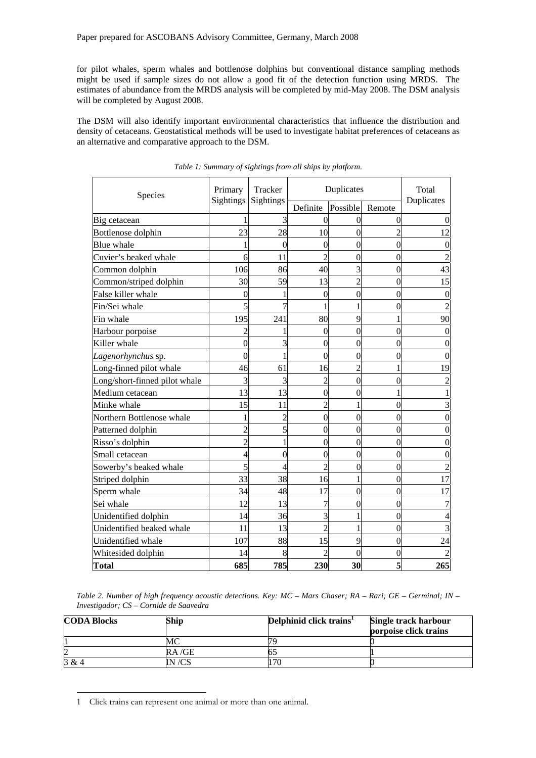for pilot whales, sperm whales and bottlenose dolphins but conventional distance sampling methods might be used if sample sizes do not allow a good fit of the detection function using MRDS. The estimates of abundance from the MRDS analysis will be completed by mid-May 2008. The DSM analysis will be completed by August 2008.

The DSM will also identify important environmental characteristics that influence the distribution and density of cetaceans. Geostatistical methods will be used to investigate habitat preferences of cetaceans as an alternative and comparative approach to the DSM.

| Species                       | Primary<br><b>Sightings</b> | Tracker<br>Sightings | Duplicates       |                |          | Total      |
|-------------------------------|-----------------------------|----------------------|------------------|----------------|----------|------------|
|                               |                             |                      | Definite         | Possible       | Remote   | Duplicates |
| Big cetacean                  |                             | 3                    | 0                | 0              | 0        |            |
| Bottlenose dolphin            | 23                          | 28                   | 10               | $\theta$       |          | 12         |
| <b>Blue</b> whale             |                             | $\Omega$             | $\overline{0}$   | $\theta$       | 0        |            |
| Cuvier's beaked whale         | 6                           | 11                   | $\overline{2}$   | $\theta$       | 0        |            |
| Common dolphin                | 106                         | 86                   | 40               | 3              | $\Omega$ | 43         |
| Common/striped dolphin        | 30                          | 59                   | 13               | $\overline{2}$ | $\Omega$ | 15         |
| False killer whale            | 0                           |                      | $\boldsymbol{0}$ | 0              | 0        | $\Omega$   |
| Fin/Sei whale                 |                             |                      |                  |                | 0        |            |
| Fin whale                     | 195                         | 241                  | 80               | 9              |          | 90         |
| Harbour porpoise              |                             |                      | $\Omega$         | $\Omega$       | $\Omega$ |            |
| Killer whale                  | 0                           | 3                    | $\overline{0}$   | 0              | 0        |            |
| Lagenorhynchus sp.            | 0                           | 1                    | $\overline{0}$   | $\theta$       | 0        | 0          |
| Long-finned pilot whale       | 46                          | 61                   | 16               | $\mathfrak{I}$ |          | 19         |
| Long/short-finned pilot whale | 3                           | 3                    | $\overline{2}$   | 0              | C        |            |
| Medium cetacean               | 13                          | 13                   | $\overline{0}$   | 0              |          |            |
| Minke whale                   | 15                          | 11                   | $\overline{2}$   |                | 0        |            |
| Northern Bottlenose whale     |                             | $\overline{2}$       | $\overline{0}$   | $\theta$       | 0        |            |
| Patterned dolphin             | $\overline{\mathcal{L}}$    | 5                    | $\overline{0}$   | $\theta$       | $\theta$ | 0          |
| Risso's dolphin               | $\overline{c}$              | 1                    | $\overline{0}$   | 0              | 0        |            |
| Small cetacean                | 4                           | $\overline{0}$       | $\overline{0}$   | $\theta$       | 0        |            |
| Sowerby's beaked whale        | 5                           | 4                    | $\overline{2}$   | $\overline{0}$ | $\Omega$ |            |
| Striped dolphin               | 33                          | 38                   | 16               |                | $\Omega$ | 17         |
| Sperm whale                   | 34                          | 48                   | 17               | $\theta$       | 0        | 17         |
| Sei whale                     | 12                          | 13                   | 7                | 0              | 0        |            |
| Unidentified dolphin          | 14                          | 36                   | 3                |                | 0        |            |
| Unidentified beaked whale     | 11                          | 13                   | $\overline{c}$   |                | 0        |            |
| Unidentified whale            | 107                         | 88                   | 15               | 9              | $\Omega$ | 24         |
| Whitesided dolphin            | 14                          | 8                    | 2                | 0              | 0        |            |
| <b>Total</b>                  | 685                         | 785                  | 230              | 30             | 5        | 265        |

*Table 1: Summary of sightings from all ships by platform.* 

*Table 2. Number of high frequency acoustic detections. Key: MC – Mars Chaser; RA – Rari; GE – Germinal; IN – Investigador; CS – Cornide de Saavedra* 

| <b>CODA Blocks</b> | Ship   | Delphinid click trains <sup>1</sup> | Single track harbour<br>porpoise click trains |  |
|--------------------|--------|-------------------------------------|-----------------------------------------------|--|
|                    |        | 70                                  |                                               |  |
|                    | RA/GE  |                                     |                                               |  |
| 3 & 4              | IN /CS |                                     |                                               |  |

<sup>1</sup> Click trains can represent one animal or more than one animal.

l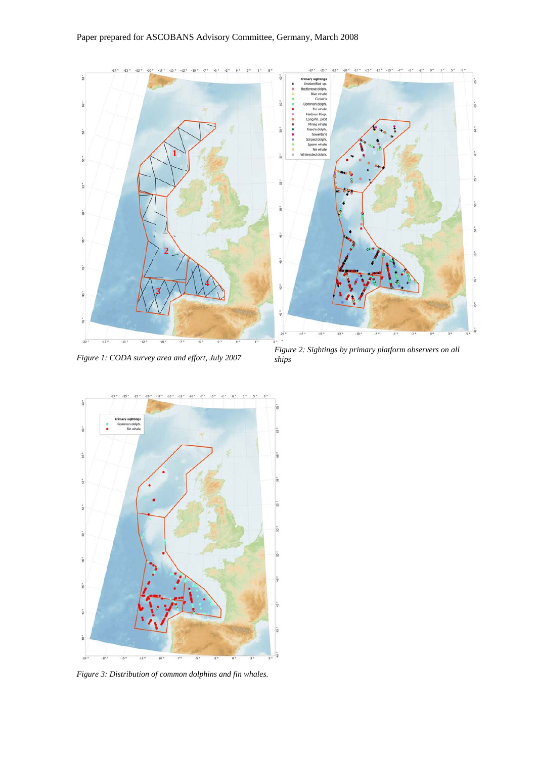

*Figure 1: CODA survey area and effort, July 2007* 

*Figure 2: Sightings by primary platform observers on all ships* 



*Figure 3: Distribution of common dolphins and fin whales.*